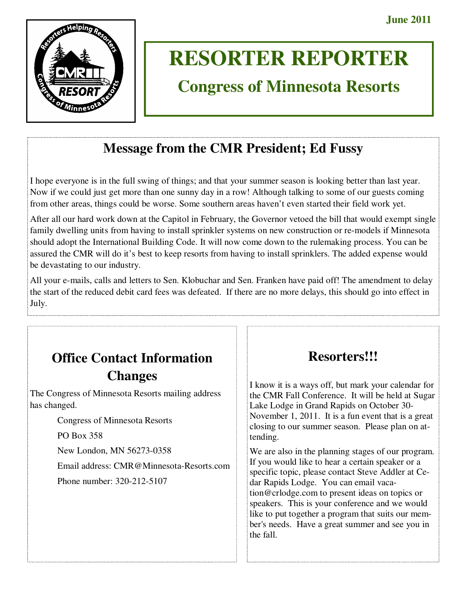

# **RESORTER REPORTER**

# **Congress of Minnesota Resorts**

# **Message from the CMR President; Ed Fussy**

I hope everyone is in the full swing of things; and that your summer season is looking better than last year. Now if we could just get more than one sunny day in a row! Although talking to some of our guests coming from other areas, things could be worse. Some southern areas haven't even started their field work yet.

After all our hard work down at the Capitol in February, the Governor vetoed the bill that would exempt single family dwelling units from having to install sprinkler systems on new construction or re-models if Minnesota should adopt the International Building Code. It will now come down to the rulemaking process. You can be assured the CMR will do it's best to keep resorts from having to install sprinklers. The added expense would be devastating to our industry.

All your e-mails, calls and letters to Sen. Klobuchar and Sen. Franken have paid off! The amendment to delay the start of the reduced debit card fees was defeated. If there are no more delays, this should go into effect in July.

# **Office Contact Information Changes**

The Congress of Minnesota Resorts mailing address has changed.

Congress of Minnesota Resorts

PO Box 358

New London, MN 56273-0358

Email address: CMR@Minnesota-Resorts.com

Phone number: 320-212-5107

# **Resorters!!!**

I know it is a ways off, but mark your calendar for the CMR Fall Conference. It will be held at Sugar Lake Lodge in Grand Rapids on October 30- November 1, 2011. It is a fun event that is a great closing to our summer season. Please plan on attending.

We are also in the planning stages of our program. If you would like to hear a certain speaker or a specific topic, please contact Steve Addler at Cedar Rapids Lodge. You can email vacation@crlodge.com to present ideas on topics or speakers. This is your conference and we would like to put together a program that suits our member's needs. Have a great summer and see you in the fall.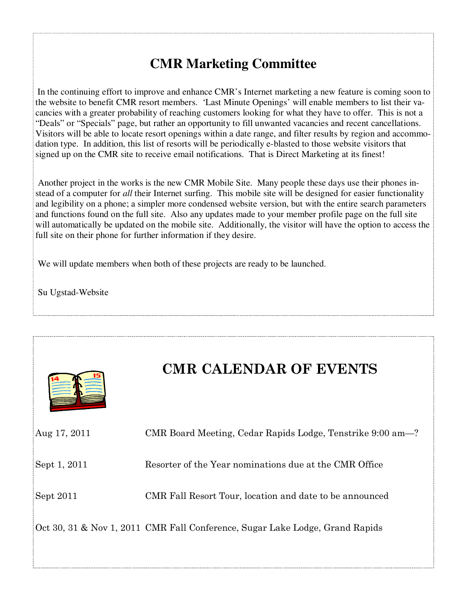# **CMR Marketing Committee**

In the continuing effort to improve and enhance CMR's Internet marketing a new feature is coming soon to the website to benefit CMR resort members. 'Last Minute Openings' will enable members to list their vacancies with a greater probability of reaching customers looking for what they have to offer. This is not a "Deals" or "Specials" page, but rather an opportunity to fill unwanted vacancies and recent cancellations. Visitors will be able to locate resort openings within a date range, and filter results by region and accommodation type. In addition, this list of resorts will be periodically e-blasted to those website visitors that signed up on the CMR site to receive email notifications. That is Direct Marketing at its finest!

 Another project in the works is the new CMR Mobile Site. Many people these days use their phones instead of a computer for *all* their Internet surfing. This mobile site will be designed for easier functionality and legibility on a phone; a simpler more condensed website version, but with the entire search parameters and functions found on the full site. Also any updates made to your member profile page on the full site will automatically be updated on the mobile site. Additionally, the visitor will have the option to access the full site on their phone for further information if they desire.

We will update members when both of these projects are ready to be launched.

Su Ugstad-Website



# **CMR CALENDAR OF EVENTS**

| Aug 17, 2011 | CMR Board Meeting, Cedar Rapids Lodge, Tenstrike 9:00 am-?                   |
|--------------|------------------------------------------------------------------------------|
| Sept 1, 2011 | Resorter of the Year nominations due at the CMR Office                       |
| Sept 2011    | CMR Fall Resort Tour, location and date to be announced                      |
|              | Oct 30, 31 & Nov 1, 2011 CMR Fall Conference, Sugar Lake Lodge, Grand Rapids |
|              |                                                                              |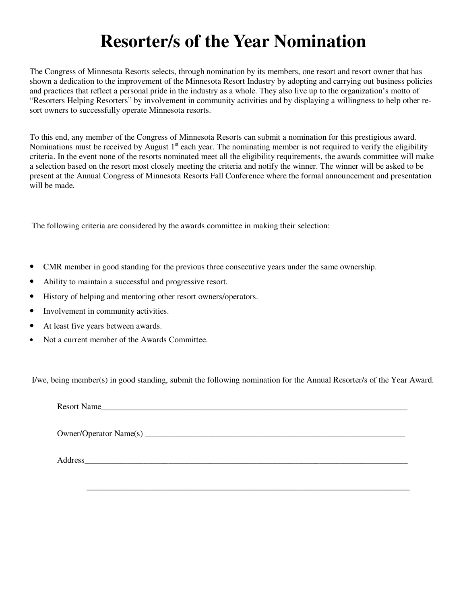# **Resorter/s of the Year Nomination**

The Congress of Minnesota Resorts selects, through nomination by its members, one resort and resort owner that has shown a dedication to the improvement of the Minnesota Resort Industry by adopting and carrying out business policies and practices that reflect a personal pride in the industry as a whole. They also live up to the organization's motto of "Resorters Helping Resorters" by involvement in community activities and by displaying a willingness to help other resort owners to successfully operate Minnesota resorts.

To this end, any member of the Congress of Minnesota Resorts can submit a nomination for this prestigious award. Nominations must be received by August  $1<sup>st</sup>$  each year. The nominating member is not required to verify the eligibility criteria. In the event none of the resorts nominated meet all the eligibility requirements, the awards committee will make a selection based on the resort most closely meeting the criteria and notify the winner. The winner will be asked to be present at the Annual Congress of Minnesota Resorts Fall Conference where the formal announcement and presentation will be made.

The following criteria are considered by the awards committee in making their selection:

- CMR member in good standing for the previous three consecutive years under the same ownership.
- Ability to maintain a successful and progressive resort.
- History of helping and mentoring other resort owners/operators.
- Involvement in community activities.
- At least five years between awards.
- Not a current member of the Awards Committee.

I/we, being member(s) in good standing, submit the following nomination for the Annual Resorter/s of the Year Award.

\_\_\_\_\_\_\_\_\_\_\_\_\_\_\_\_\_\_\_\_\_\_\_\_\_\_\_\_\_\_\_\_\_\_\_\_\_\_\_\_\_\_\_\_\_\_\_\_\_\_\_\_\_\_\_\_\_\_\_\_\_\_\_\_\_\_\_\_\_\_\_\_\_\_\_\_\_

Resort Name

Owner/Operator Name(s) \_\_\_\_\_\_\_\_\_\_\_\_\_\_\_\_\_\_\_\_\_\_\_\_\_\_\_\_\_\_\_\_\_\_\_\_\_\_\_\_\_\_\_\_\_\_\_\_\_\_\_\_\_\_\_\_\_\_\_\_\_\_

Address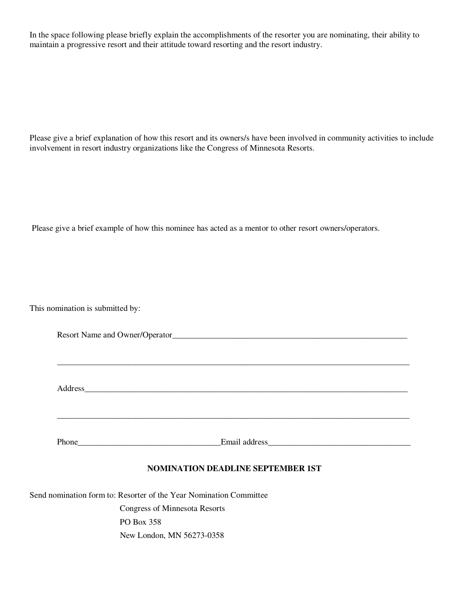In the space following please briefly explain the accomplishments of the resorter you are nominating, their ability to maintain a progressive resort and their attitude toward resorting and the resort industry.

Please give a brief explanation of how this resort and its owners/s have been involved in community activities to include involvement in resort industry organizations like the Congress of Minnesota Resorts.

Please give a brief example of how this nominee has acted as a mentor to other resort owners/operators.

This nomination is submitted by:

| Resort Name and Owner/Operator |  |
|--------------------------------|--|
|                                |  |

\_\_\_\_\_\_\_\_\_\_\_\_\_\_\_\_\_\_\_\_\_\_\_\_\_\_\_\_\_\_\_\_\_\_\_\_\_\_\_\_\_\_\_\_\_\_\_\_\_\_\_\_\_\_\_\_\_\_\_\_\_\_\_\_\_\_\_\_\_\_\_\_\_\_\_\_\_\_\_\_\_\_\_\_

\_\_\_\_\_\_\_\_\_\_\_\_\_\_\_\_\_\_\_\_\_\_\_\_\_\_\_\_\_\_\_\_\_\_\_\_\_\_\_\_\_\_\_\_\_\_\_\_\_\_\_\_\_\_\_\_\_\_\_\_\_\_\_\_\_\_\_\_\_\_\_\_\_\_\_\_\_\_\_\_\_\_\_\_

Address\_\_\_\_\_\_\_\_\_\_\_\_\_\_\_\_\_\_\_\_\_\_\_\_\_\_\_\_\_\_\_\_\_\_\_\_\_\_\_\_\_\_\_\_\_\_\_\_\_\_\_\_\_\_\_\_\_\_\_\_\_\_\_\_\_\_\_\_\_\_\_\_\_\_\_\_\_

Phone\_\_\_\_\_\_\_\_\_\_\_\_\_\_\_\_\_\_\_\_\_\_\_\_\_\_\_\_\_\_\_\_\_\_Email address\_\_\_\_\_\_\_\_\_\_\_\_\_\_\_\_\_\_\_\_\_\_\_\_\_\_\_\_\_\_\_\_\_\_

# **NOMINATION DEADLINE SEPTEMBER 1ST**

Send nomination form to: Resorter of the Year Nomination Committee

 Congress of Minnesota Resorts PO Box 358 New London, MN 56273-0358